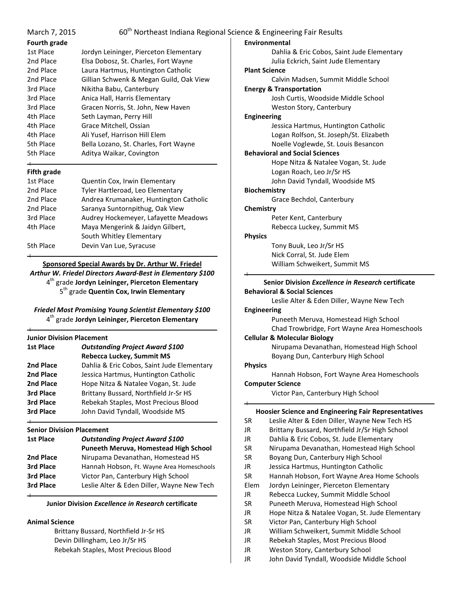| March 7, 2015<br>Fourth grade                       |                                                              | 60 <sup>th</sup> Northeast Indiana Regional Science & Engineering Fair Results<br>Environmental |
|-----------------------------------------------------|--------------------------------------------------------------|-------------------------------------------------------------------------------------------------|
| 1st Place                                           | Jordyn Leininger, Pierceton Elementary                       | Dahlia & Eric Cobos, Saint Jude Elementary                                                      |
| 2nd Place                                           | Elsa Dobosz, St. Charles, Fort Wayne                         | Julia Eckrich, Saint Jude Elementary                                                            |
| 2nd Place                                           | Laura Hartmus, Huntington Catholic                           | <b>Plant Science</b>                                                                            |
| 2nd Place                                           | Gillian Schwenk & Megan Guild, Oak View                      | Calvin Madsen, Summit Middle School                                                             |
| 3rd Place                                           | Nikitha Babu, Canterbury                                     | <b>Energy &amp; Transportation</b>                                                              |
| 3rd Place                                           | Anica Hall, Harris Elementary                                | Josh Curtis, Woodside Middle School                                                             |
| 3rd Place                                           | Gracen Norris, St. John, New Haven                           | Weston Story, Canterbury                                                                        |
| 4th Place                                           | Seth Layman, Perry Hill                                      | <b>Engineering</b>                                                                              |
| 4th Place                                           | Grace Mitchell, Ossian                                       | Jessica Hartmus, Huntington Catholic                                                            |
| 4th Place                                           | Ali Yusef, Harrison Hill Elem                                | Logan Rolfson, St. Joseph/St. Elizabeth                                                         |
| 5th Place                                           | Bella Lozano, St. Charles, Fort Wayne                        | Noelle Voglewde, St. Louis Besancon                                                             |
| 5th Place                                           | Aditya Waikar, Covington                                     | <b>Behavioral and Social Sciences</b>                                                           |
|                                                     |                                                              | Hope Nitza & Natalee Vogan, St. Jude                                                            |
| <b>Fifth grade</b>                                  |                                                              | Logan Roach, Leo Jr/Sr HS                                                                       |
| 1st Place                                           | Quentin Cox, Irwin Elementary                                | John David Tyndall, Woodside MS                                                                 |
| 2nd Place                                           | Tyler Hartleroad, Leo Elementary                             | <b>Biochemistry</b>                                                                             |
| 2nd Place                                           | Andrea Krumanaker, Huntington Catholic                       | Grace Bechdol, Canterbury                                                                       |
| 2nd Place                                           | Saranya Suntornpithug, Oak View                              | Chemistry                                                                                       |
| 3rd Place                                           | Audrey Hockemeyer, Lafayette Meadows                         | Peter Kent, Canterbury                                                                          |
| 4th Place                                           | Maya Mengerink & Jaidyn Gilbert,                             | Rebecca Luckey, Summit MS                                                                       |
|                                                     | South Whitley Elementary                                     | <b>Physics</b>                                                                                  |
| 5th Place                                           | Devin Van Lue, Syracuse                                      | Tony Buuk, Leo Jr/Sr HS                                                                         |
|                                                     |                                                              | Nick Corral, St. Jude Elem                                                                      |
|                                                     | Sponsored Special Awards by Dr. Arthur W. Friedel            | William Schweikert, Summit MS                                                                   |
|                                                     | Arthur W. Friedel Directors Award-Best in Elementary \$100   |                                                                                                 |
|                                                     | 4 <sup>th</sup> grade Jordyn Leininger, Pierceton Elementary | Senior Division Excellence in Research certificate                                              |
| 5 <sup>th</sup> grade Quentin Cox, Irwin Elementary |                                                              | <b>Behavioral &amp; Social Sciences</b>                                                         |
|                                                     |                                                              | Leslie Alter & Eden Diller, Wayne New Tech                                                      |
|                                                     | Friedel Most Promising Young Scientist Elementary \$100      | <b>Engineering</b>                                                                              |

*Friedel Most Promising Young Scientist Elementary \$100* 4 th grade **Jordyn Leininger, Pierceton Elementary**

#### **Junior Division Placement**

| <b>1st Place</b> | <b>Outstanding Project Award \$100</b>     |  |  |
|------------------|--------------------------------------------|--|--|
|                  | <b>Rebecca Luckey, Summit MS</b>           |  |  |
| 2nd Place        | Dahlia & Eric Cobos, Saint Jude Elementary |  |  |
| 2nd Place        | Jessica Hartmus, Huntington Catholic       |  |  |
| 2nd Place        | Hope Nitza & Natalee Vogan, St. Jude       |  |  |
| 3rd Place        | Brittany Bussard, Northfield Jr-Sr HS      |  |  |
| 3rd Place        | Rebekah Staples, Most Precious Blood       |  |  |
| <b>3rd Place</b> | John David Tyndall, Woodside MS            |  |  |
|                  |                                            |  |  |

### **Senior Division Placement**

| <b>1st Place</b> | <b>Outstanding Project Award \$100</b><br>Puneeth Meruva, Homestead High School |
|------------------|---------------------------------------------------------------------------------|
| 2nd Place        | Nirupama Devanathan, Homestead HS                                               |
| 3rd Place        | Hannah Hobson, Ft. Wayne Area Homeschools                                       |
| 3rd Place        | Victor Pan, Canterbury High School                                              |
| 3rd Place        | Leslie Alter & Eden Diller, Wayne New Tech                                      |
|                  |                                                                                 |

## **Junior Division** *Excellence in Research* **certificate**

# **Animal Science**

Brittany Bussard, Northfield Jr-Sr HS Devin Dillingham, Leo Jr/Sr HS Rebekah Staples, Most Precious Blood

Boyang Dun, Canterbury High School **Physics** Hannah Hobson, Fort Wayne Area Homeschools **Computer Science** Victor Pan, Canterbury High School

Nirupama Devanathan, Homestead High School

Puneeth Meruva, Homestead High School Chad Trowbridge, Fort Wayne Area Homeschools

**Cellular & Molecular Biology**

## **Hoosier Science and Engineering Fair Representatives**

| <b>INVOSICI JUICHLE AND LIIRNIECHIIR FAN INCRICSCHLAUVES</b> |                                                 |  |  |  |
|--------------------------------------------------------------|-------------------------------------------------|--|--|--|
| SR                                                           | Leslie Alter & Eden Diller, Wayne New Tech HS   |  |  |  |
| JR                                                           | Brittany Bussard, Northfield Jr/Sr High School  |  |  |  |
| JR                                                           | Dahlia & Eric Cobos, St. Jude Elementary        |  |  |  |
| <b>SR</b>                                                    | Nirupama Devanathan, Homestead High School      |  |  |  |
| <b>SR</b>                                                    | Boyang Dun, Canterbury High School              |  |  |  |
| JR.                                                          | Jessica Hartmus, Huntington Catholic            |  |  |  |
| <b>SR</b>                                                    | Hannah Hobson, Fort Wayne Area Home Schools     |  |  |  |
| Elem                                                         | Jordyn Leininger, Pierceton Elementary          |  |  |  |
| JR                                                           | Rebecca Luckey, Summit Middle School            |  |  |  |
| SR                                                           | Puneeth Meruva, Homestead High School           |  |  |  |
| JR                                                           | Hope Nitza & Natalee Vogan, St. Jude Elementary |  |  |  |
| <b>SR</b>                                                    | Victor Pan, Canterbury High School              |  |  |  |
| JR.                                                          | William Schweikert, Summit Middle School        |  |  |  |
| JR                                                           | Rebekah Staples, Most Precious Blood            |  |  |  |
| JR                                                           | Weston Story, Canterbury School                 |  |  |  |
|                                                              |                                                 |  |  |  |

JR John David Tyndall, Woodside Middle School